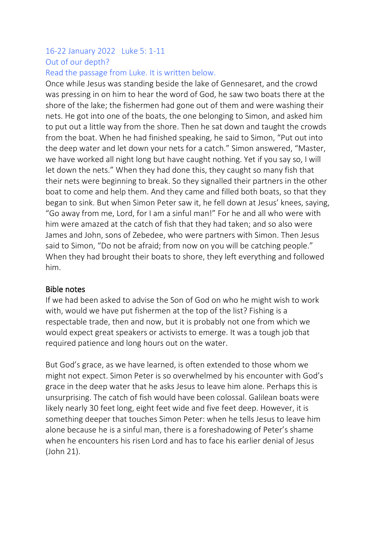## 16-22 January 2022 Luke 5: 1-11 Out of our depth?

### Read the passage from Luke. It is written below.

Once while Jesus was standing beside the lake of Gennesaret, and the crowd was pressing in on him to hear the word of God, he saw two boats there at the shore of the lake; the fishermen had gone out of them and were washing their nets. He got into one of the boats, the one belonging to Simon, and asked him to put out a little way from the shore. Then he sat down and taught the crowds from the boat. When he had finished speaking, he said to Simon, "Put out into the deep water and let down your nets for a catch." Simon answered, "Master, we have worked all night long but have caught nothing. Yet if you say so, I will let down the nets." When they had done this, they caught so many fish that their nets were beginning to break. So they signalled their partners in the other boat to come and help them. And they came and filled both boats, so that they began to sink. But when Simon Peter saw it, he fell down at Jesus' knees, saying, "Go away from me, Lord, for I am a sinful man!" For he and all who were with him were amazed at the catch of fish that they had taken; and so also were James and John, sons of Zebedee, who were partners with Simon. Then Jesus said to Simon, "Do not be afraid; from now on you will be catching people." When they had brought their boats to shore, they left everything and followed him.

#### Bible notes

If we had been asked to advise the Son of God on who he might wish to work with, would we have put fishermen at the top of the list? Fishing is a respectable trade, then and now, but it is probably not one from which we would expect great speakers or activists to emerge. It was a tough job that required patience and long hours out on the water.

But God's grace, as we have learned, is often extended to those whom we might not expect. Simon Peter is so overwhelmed by his encounter with God's grace in the deep water that he asks Jesus to leave him alone. Perhaps this is unsurprising. The catch of fish would have been colossal. Galilean boats were likely nearly 30 feet long, eight feet wide and five feet deep. However, it is something deeper that touches Simon Peter: when he tells Jesus to leave him alone because he is a sinful man, there is a foreshadowing of Peter's shame when he encounters his risen Lord and has to face his earlier denial of Jesus (John 21).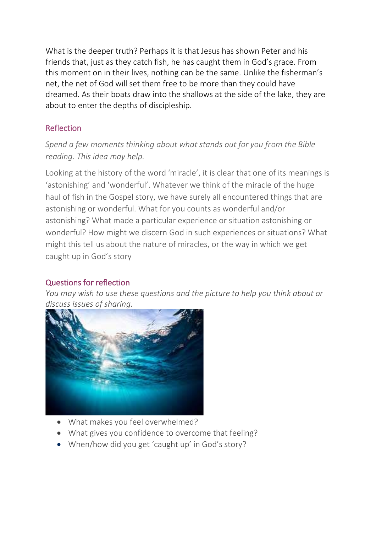What is the deeper truth? Perhaps it is that Jesus has shown Peter and his friends that, just as they catch fish, he has caught them in God's grace. From this moment on in their lives, nothing can be the same. Unlike the fisherman's net, the net of God will set them free to be more than they could have dreamed. As their boats draw into the shallows at the side of the lake, they are about to enter the depths of discipleship.

# Reflection

*Spend a few moments thinking about what stands out for you from the Bible reading. This idea may help.*

Looking at the history of the word 'miracle', it is clear that one of its meanings is 'astonishing' and 'wonderful'. Whatever we think of the miracle of the huge haul of fish in the Gospel story, we have surely all encountered things that are astonishing or wonderful. What for you counts as wonderful and/or astonishing? What made a particular experience or situation astonishing or wonderful? How might we discern God in such experiences or situations? What might this tell us about the nature of miracles, or the way in which we get caught up in God's story

### Questions for reflection

*You may wish to use these questions and the picture to help you think about or discuss issues of sharing.*



- What makes you feel overwhelmed?
- What gives you confidence to overcome that feeling?
- When/how did you get 'caught up' in God's story?